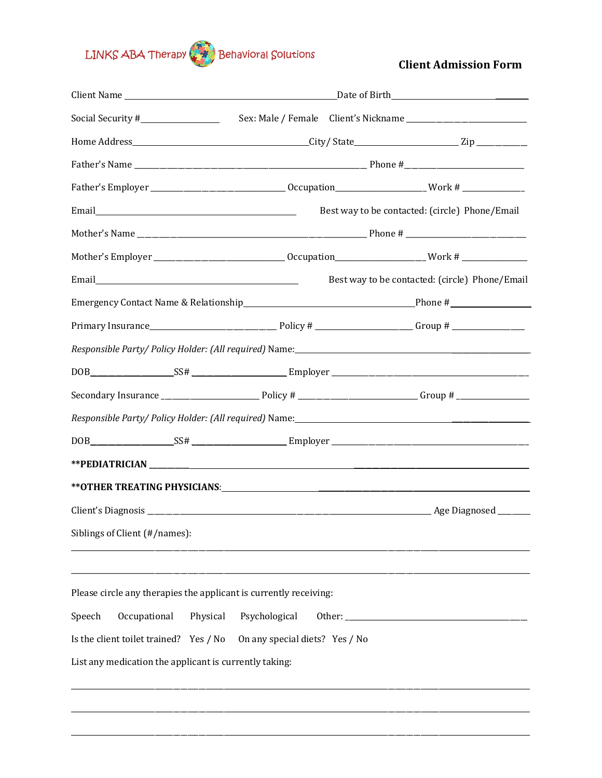## LINKS ABA Therapy Behavioral Solutions

**Client Admission Form** 

|                                                                                                                                                                                                             | Date of Birth <b>Exercise 2018</b>              |  |                                                |  |
|-------------------------------------------------------------------------------------------------------------------------------------------------------------------------------------------------------------|-------------------------------------------------|--|------------------------------------------------|--|
| Social Security #__________________                                                                                                                                                                         |                                                 |  |                                                |  |
|                                                                                                                                                                                                             |                                                 |  |                                                |  |
|                                                                                                                                                                                                             |                                                 |  |                                                |  |
|                                                                                                                                                                                                             |                                                 |  |                                                |  |
|                                                                                                                                                                                                             |                                                 |  | Best way to be contacted: (circle) Phone/Email |  |
|                                                                                                                                                                                                             |                                                 |  |                                                |  |
|                                                                                                                                                                                                             |                                                 |  |                                                |  |
|                                                                                                                                                                                                             |                                                 |  | Best way to be contacted: (circle) Phone/Email |  |
|                                                                                                                                                                                                             |                                                 |  |                                                |  |
|                                                                                                                                                                                                             |                                                 |  |                                                |  |
|                                                                                                                                                                                                             |                                                 |  |                                                |  |
|                                                                                                                                                                                                             |                                                 |  |                                                |  |
|                                                                                                                                                                                                             |                                                 |  |                                                |  |
|                                                                                                                                                                                                             |                                                 |  |                                                |  |
|                                                                                                                                                                                                             |                                                 |  |                                                |  |
|                                                                                                                                                                                                             |                                                 |  |                                                |  |
|                                                                                                                                                                                                             |                                                 |  |                                                |  |
|                                                                                                                                                                                                             |                                                 |  |                                                |  |
| Siblings of Client (#/names):                                                                                                                                                                               |                                                 |  |                                                |  |
|                                                                                                                                                                                                             |                                                 |  |                                                |  |
| Please circle any therapies the applicant is currently receiving:<br>Occupational<br>Physical<br>Speech<br>Is the client toilet trained? Yes / No<br>List any medication the applicant is currently taking: | Psychological<br>On any special diets? Yes / No |  |                                                |  |
|                                                                                                                                                                                                             |                                                 |  |                                                |  |